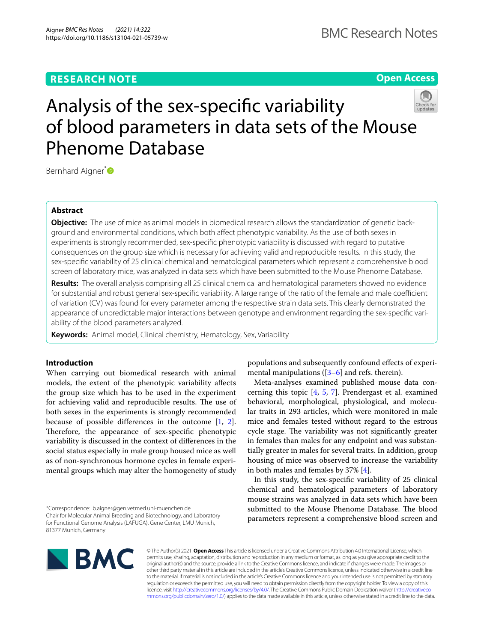# **RESEARCH NOTE**

**Open Access**

# Analysis of the sex-specifc variability of blood parameters in data sets of the Mouse Phenome Database

Bernhard Aigner<sup>[\\*](http://orcid.org/0000-0003-1644-2711)</sup>

# **Abstract**

**Objective:** The use of mice as animal models in biomedical research allows the standardization of genetic background and environmental conditions, which both afect phenotypic variability. As the use of both sexes in experiments is strongly recommended, sex-specifc phenotypic variability is discussed with regard to putative consequences on the group size which is necessary for achieving valid and reproducible results. In this study, the sex-specifc variability of 25 clinical chemical and hematological parameters which represent a comprehensive blood screen of laboratory mice, was analyzed in data sets which have been submitted to the Mouse Phenome Database.

**Results:** The overall analysis comprising all 25 clinical chemical and hematological parameters showed no evidence for substantial and robust general sex-specific variability. A large range of the ratio of the female and male coefficient of variation (CV) was found for every parameter among the respective strain data sets. This clearly demonstrated the appearance of unpredictable major interactions between genotype and environment regarding the sex-specifc variability of the blood parameters analyzed.

**Keywords:** Animal model, Clinical chemistry, Hematology, Sex, Variability

# **Introduction**

When carrying out biomedical research with animal models, the extent of the phenotypic variability afects the group size which has to be used in the experiment for achieving valid and reproducible results. The use of both sexes in the experiments is strongly recommended because of possible diferences in the outcome [\[1](#page-5-0), [2](#page-5-1)]. Therefore, the appearance of sex-specific phenotypic variability is discussed in the context of diferences in the social status especially in male group housed mice as well as of non-synchronous hormone cycles in female experimental groups which may alter the homogeneity of study

\*Correspondence: b.aigner@gen.vetmed.uni-muenchen.de Chair for Molecular Animal Breeding and Biotechnology, and Laboratory for Functional Genome Analysis (LAFUGA), Gene Center, LMU Munich, 81377 Munich, Germany

populations and subsequently confound efects of experimental manipulations ( $[3-6]$  $[3-6]$  $[3-6]$  and refs. therein).

Meta-analyses examined published mouse data concerning this topic [[4,](#page-5-4) [5,](#page-5-5) [7](#page-5-6)]. Prendergast et al. examined behavioral, morphological, physiological, and molecular traits in 293 articles, which were monitored in male mice and females tested without regard to the estrous cycle stage. The variability was not significantly greater in females than males for any endpoint and was substantially greater in males for several traits. In addition, group housing of mice was observed to increase the variability in both males and females by 37% [\[4](#page-5-4)].

In this study, the sex-specifc variability of 25 clinical chemical and hematological parameters of laboratory mouse strains was analyzed in data sets which have been submitted to the Mouse Phenome Database. The blood parameters represent a comprehensive blood screen and



© The Author(s) 2021. **Open Access** This article is licensed under a Creative Commons Attribution 4.0 International License, which permits use, sharing, adaptation, distribution and reproduction in any medium or format, as long as you give appropriate credit to the original author(s) and the source, provide a link to the Creative Commons licence, and indicate if changes were made. The images or other third party material in this article are included in the article's Creative Commons licence, unless indicated otherwise in a credit line to the material. If material is not included in the article's Creative Commons licence and your intended use is not permitted by statutory regulation or exceeds the permitted use, you will need to obtain permission directly from the copyright holder. To view a copy of this licence, visit [http://creativecommons.org/licenses/by/4.0/.](http://creativecommons.org/licenses/by/4.0/) The Creative Commons Public Domain Dedication waiver ([http://creativeco](http://creativecommons.org/publicdomain/zero/1.0/) [mmons.org/publicdomain/zero/1.0/](http://creativecommons.org/publicdomain/zero/1.0/)) applies to the data made available in this article, unless otherwise stated in a credit line to the data.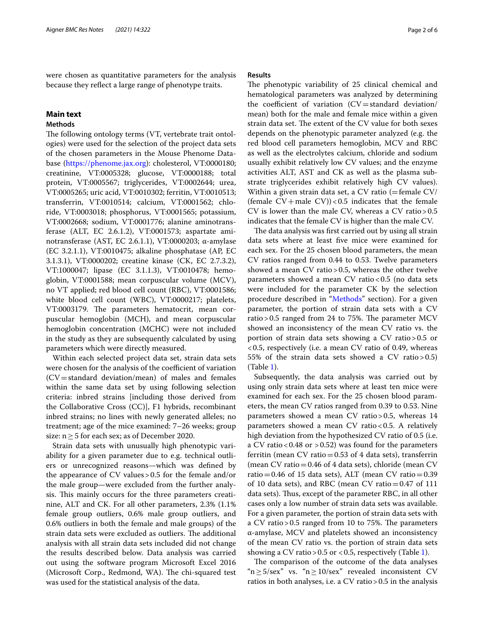were chosen as quantitative parameters for the analysis because they refect a large range of phenotype traits.

# **Main text**

# <span id="page-1-0"></span>**Methods**

The following ontology terms (VT, vertebrate trait ontologies) were used for the selection of the project data sets of the chosen parameters in the Mouse Phenome Database [\(https://phenome.jax.org\)](https://phenome.jax.org): cholesterol, VT:0000180; creatinine, VT:0005328; glucose, VT:0000188; total protein, VT:0005567; triglycerides, VT:0002644; urea, VT:0005265; uric acid, VT:0010302; ferritin, VT:0010513; transferrin, VT:0010514; calcium, VT:0001562; chloride, VT:0003018; phosphorus, VT:0001565; potassium, VT:0002668; sodium, VT:0001776; alanine aminotransferase (ALT, EC 2.6.1.2), VT:0001573; aspartate aminotransferase (AST, EC 2.6.1.1), VT:0000203; α-amylase (EC 3.2.1.1), VT:0010475; alkaline phosphatase (AP, EC 3.1.3.1), VT:0000202; creatine kinase (CK, EC 2.7.3.2), VT:1000047; lipase (EC 3.1.1.3), VT:0010478; hemoglobin, VT:0001588; mean corpuscular volume (MCV), no VT applied; red blood cell count (RBC), VT:0001586; white blood cell count (WBC), VT:0000217; platelets, VT:0003179. The parameters hematocrit, mean corpuscular hemoglobin (MCH), and mean corpuscular hemoglobin concentration (MCHC) were not included in the study as they are subsequently calculated by using parameters which were directly measured.

Within each selected project data set, strain data sets were chosen for the analysis of the coefficient of variation  $(CV=standard deviation/mean)$  of males and females within the same data set by using following selection criteria: inbred strains [including those derived from the Collaborative Cross (CC)], F1 hybrids, recombinant inbred strains; no lines with newly generated alleles; no treatment; age of the mice examined: 7–26 weeks; group size:  $n \geq 5$  for each sex; as of December 2020.

Strain data sets with unusually high phenotypic variability for a given parameter due to e.g. technical outliers or unrecognized reasons—which was defned by the appearance of CV values>0.5 for the female and/or the male group—were excluded from the further analysis. This mainly occurs for the three parameters creatinine, ALT and CK. For all other parameters, 2.3% (1.1% female group outliers, 0.6% male group outliers, and 0.6% outliers in both the female and male groups) of the strain data sets were excluded as outliers. The additional analysis with all strain data sets included did not change the results described below. Data analysis was carried out using the software program Microsoft Excel 2016 (Microsoft Corp., Redmond, WA). The chi-squared test was used for the statistical analysis of the data.

## **Results**

The phenotypic variability of 25 clinical chemical and hematological parameters was analyzed by determining the coefficient of variation  $(CV=standard deviation/$ mean) both for the male and female mice within a given strain data set. The extent of the CV value for both sexes depends on the phenotypic parameter analyzed (e.g. the red blood cell parameters hemoglobin, MCV and RBC as well as the electrolytes calcium, chloride and sodium usually exhibit relatively low CV values; and the enzyme activities ALT, AST and CK as well as the plasma substrate triglycerides exhibit relatively high CV values). Within a given strain data set, a CV ratio  $(=\text{female CV}/\text{C})$ (female  $CV +$ male  $CV$ ))<0.5 indicates that the female CV is lower than the male CV, whereas a CV ratio>0.5 indicates that the female CV is higher than the male CV.

The data analysis was first carried out by using all strain data sets where at least fve mice were examined for each sex. For the 25 chosen blood parameters, the mean CV ratios ranged from 0.44 to 0.53. Twelve parameters showed a mean CV ratio>0.5, whereas the other twelve parameters showed a mean CV ratio<0.5 (no data sets were included for the parameter CK by the selection procedure described in "[Methods"](#page-1-0) section). For a given parameter, the portion of strain data sets with a CV ratio > 0.5 ranged from 24 to 75%. The parameter  $MCV$ showed an inconsistency of the mean CV ratio vs. the portion of strain data sets showing a CV ratio>0.5 or <0.5, respectively (i.e. a mean CV ratio of 0.49, whereas 55% of the strain data sets showed a CV ratio  $> 0.5$ ) (Table [1\)](#page-2-0).

Subsequently, the data analysis was carried out by using only strain data sets where at least ten mice were examined for each sex. For the 25 chosen blood parameters, the mean CV ratios ranged from 0.39 to 0.53. Nine parameters showed a mean CV ratio>0.5, whereas 14 parameters showed a mean CV ratio <  $0.5$ . A relatively high deviation from the hypothesized CV ratio of 0.5 (i.e. a CV ratio <  $0.48$  or >  $0.52$ ) was found for the parameters ferritin (mean CV ratio=0.53 of 4 data sets), transferrin (mean CV ratio=0.46 of 4 data sets), chloride (mean CV ratio=0.46 of 15 data sets), ALT (mean CV ratio=0.39 of 10 data sets), and RBC (mean CV ratio $=0.47$  of 111 data sets). Thus, except of the parameter RBC, in all other cases only a low number of strain data sets was available. For a given parameter, the portion of strain data sets with a CV ratio  $> 0.5$  ranged from 10 to 75%. The parameters α-amylase, MCV and platelets showed an inconsistency of the mean CV ratio vs. the portion of strain data sets showing a CV ratio > 0.5 or < 0.5, respectively (Table [1](#page-2-0)).

The comparison of the outcome of the data analyses " $n \ge 5/\text{sex}$ " vs. " $n \ge 10/\text{sex}$ " revealed inconsistent CV ratios in both analyses, i.e. a CV ratio>0.5 in the analysis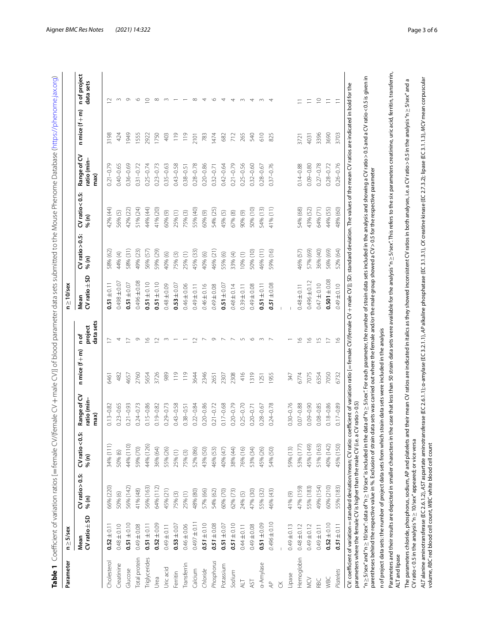<span id="page-2-0"></span>

| ļ                             |
|-------------------------------|
|                               |
|                               |
|                               |
|                               |
|                               |
|                               |
|                               |
|                               |
|                               |
|                               |
|                               |
|                               |
|                               |
| ١                             |
| j                             |
| j                             |
| Ì                             |
|                               |
| $\frac{1}{2}$<br>$\mathbf{I}$ |
|                               |
|                               |
|                               |
| İ                             |
|                               |
|                               |
|                               |
| l                             |
|                               |
| i                             |
|                               |
|                               |
|                               |
|                               |
| $\ddot{\phantom{a}}$          |
|                               |
| ł                             |
|                               |
|                               |
| うりょ<br>į<br>l                 |
|                               |
|                               |
| i                             |
| $\overline{\phantom{a}}$<br>į |
|                               |
| S<br>S                        |
| i<br>i                        |
| ï                             |
|                               |
| i<br>i                        |
|                               |
| ١                             |
| ١                             |
|                               |
|                               |
|                               |
|                               |
|                               |
| Ï<br>:                        |
| l<br>j<br>ı                   |
| l<br>J                        |
| ī<br>ĭ                        |
|                               |
|                               |
|                               |
|                               |
| l                             |
|                               |
| $\overline{ }$                |
|                               |
|                               |
| ١<br>I                        |
|                               |
| İ<br>1                        |
| ١                             |
|                               |
|                               |
|                               |
|                               |
|                               |
| )<br>I                        |
| ۱                             |
| ł<br>١                        |
|                               |
| <b>.</b>                      |
| I<br>l                        |
| ì                             |
|                               |
| )<br>ĺ                        |
|                               |
| $\frac{1}{9}$<br>j<br>Ξ       |
| ł                             |
| į                             |
| Ì                             |
| p                             |
|                               |
| I<br>j                        |
| ı                             |
| I                             |
|                               |
| ١                             |
| Ĭ                             |
| I                             |
| j<br>I                        |
|                               |
| j                             |
| ī<br>j                        |
| ł                             |
|                               |
| ١                             |
| $\overline{\phantom{a}}$<br>į |
| ١                             |
| Í<br>j                        |
| ť<br>j                        |
|                               |
|                               |
| j                             |
| ١<br>١                        |
|                               |
|                               |
| ī                             |
| 1                             |
| ᄒ                             |

| case that less than 50 strain data sets were available for the analysis "n $\geq$ 5/sex". This refers to the six parameters creatinine, uric acid, ferritin, transferrin,<br>'n ≥5/sex" and "n ≥ 10/sex": 4ata of "n ≥ 10/sex" is included in the data of "n ≥ 5/sex". For each parameter, the number of strain data sets included in the analysis and showing a CV ratio > 0.5 and a CV ratio <0.5 is giv<br>ALT alanine aminotransferase (EC 2.6.1.2), AST aspartate aminotransferase (EC 2.6.1.1); o-amylase (EC 3.2.1.1), AP alkaline phosphatase (EC 3.1.3.1), CK creatine kinase (EC 2.7.3.2); lipase (EC 3.1.1.3), MCV mean corpuscul<br>The parameters chloride, phosphorus, sodium, AP and platelets and their mean CV ratios are indicated in Italics as they showed inconsistent CV ratios in both analyses, i.e. a CV ratio >0.5 in the analysis"n $\geq$ 5/sex" a<br>CV: coefficient of variation = standard deviation/mean; CV ratio: coefficient of variation ratio [= female CV/(female CV + male CV); SD: standard deviation. The values of the mean CV ratios are indicated in bold for the<br>$\circ$<br>$\circ$<br>$\supseteq$<br>$\infty$<br>$\infty$<br>$\overline{4}$<br>$\circ$<br>$\supseteq$<br>$\sim$<br>4<br>4<br>$\sim$<br>4<br>$\sim$<br>4<br>$\supseteq$<br>$\infty$<br>$\overline{\phantom{0}}$<br>$\overleftarrow{\phantom{a}}$<br>$\Xi$<br>$\equiv$<br>$\overline{1}$<br>n mice $(f+m)$<br>119<br>119<br>540<br>610<br>825<br>783<br>712<br>265<br>3396<br>3690<br>3198<br>424<br>1949<br>1555<br>1750<br>403<br>1474<br>682<br>3703<br>2922<br>2101<br>4031<br>3721<br>Range of CV<br>ratio (min-<br>$0.36 - 0.69$<br>$0.09 - 0.80$<br>$0.27 - 0.78$<br>$0.28 - 0.72$<br>$0.26 - 0.76$<br>$0.21 - 0.79$<br>0.40-0.65<br>$0.31 - 0.72$<br>$0.21 - 0.79$<br>$0.25 - 0.56$<br>$0.14 - 0.88$<br>$0.25 - 0.74$<br>$0.23 - 0.73$<br>$0.35 - 0.63$<br>$0.43 - 0.58$<br>$0.28 - 0.78$<br>$0.20 - 0.86$<br>$0.32 - 0.71$<br>$0.42 - 0.64$<br>$0.32 - 0.60$<br>$0.37 - 0.76$<br>$0.38 - 0.51$<br>$0.28 - 0.67$<br>parentheses behind the respective value in %. Exclusion of strain data sets was carried out where the female and/or the male group showed a CV > 0.5 for the respective parameter<br>max(<br>$CV$ ratio < 0.5:<br>64% (71)<br>44% (55)<br>43% (52)<br>48% (60)<br>51% (24)<br>44% (44)<br>41% (20)<br>41% (11)<br>54% (68)<br>42% (44)<br>42% (22)<br>55% (40)<br>50% (10)<br>54% (13)<br>54% (25)<br>25% (1)<br>60% (9)<br>75% (3)<br>60% (9)<br>56% (5)<br>45% (5)<br>67% (8)<br>90% (9)<br>% (n)<br>$CV$ ratio $> 0.5$ :<br>57% (69)<br>36% (40)<br>56% (69)<br>52% (64)<br>49% (23)<br>56% (57)<br>59% (29)<br>46% (21)<br>50% (10)<br>46% (11)<br>59% (16)<br>46% (57)<br>58% (31)<br>45% (33)<br>58% (62)<br>10% (1)<br>40% (6)<br>75% (3)<br>25% (1)<br>40% (6)<br>33% (4)<br>44% (4)<br>55% (6)<br>%(n)<br>$CV$ ratio $\pm$ SD<br>$0.501 + 0.08$<br>0.496±0.08<br>$0.496 \pm 0.12$<br>0.03 ± 0.07<br>$0.51 \pm 0.10$<br>$0.51 \pm 0.07$<br>$0.51 \pm 0.10$<br>$0.51 \pm 0.11$<br>$0.47 \pm 0.10$<br>$0.51 \pm 0.11$<br>$0.51 \pm 0.08$<br>$0.49 \pm 0.10$<br>$0.53 + 0.07$<br>$0.51 \pm 0.07$<br>$0.048 + 0.09$<br>$0.46 \pm 0.06$<br>$0.46 \pm 0.16$<br>3007649<br>$0.49 \pm 0.11$<br>$0.49 \pm 0.08$<br>$0.48 \pm 0.14$<br>$0.39 \pm 0.11$<br>$0.48 \pm 0.11$<br>Mean<br>data sets<br>project<br>n of project data sets: the number of project data sets from which strain data sets were included in the analysis<br>n of<br>$\frac{\infty}{2}$<br>$\overline{1}$<br>$\circ$<br>$\frac{6}{1}$<br>$\supseteq$<br>$\overline{\phantom{a}}$<br>$\circ$<br>$\mathsf{L}\cap$<br>$\circ$<br>$\frac{\infty}{2}$<br>$\overline{1}$<br>$\frac{8}{1}$<br>4<br>$\approx$<br>$\sim$<br>$\sim$<br>$\sim$<br>$\sim$<br>$\sim$<br>$\overline{1}$<br>$\overline{C}$<br>$n$ mice $(f+m)$<br>3726<br>989<br>119<br>119<br>2346<br>416<br>1319<br>1955<br>3644<br>2308<br>6774<br>7075<br>6354<br>7050<br>482<br>2760<br>5654<br>347<br>6732<br>2651<br>2307<br>1251<br>6461<br>4657<br>Range of CV<br>ratio (min-<br>parameters where the female CV is higher than the male CV (i.e. a CV ratio > 0.5)<br>$0.20 - 0.86$<br>$0.30 - 0.76$<br>$0.07 - 0.88$<br>$0.09 - 0.90$<br>$0.08 - 0.85$<br>$0.18 - 0.86$<br>$0.23 - 0.65$<br>$0.21 - 0.72$<br>$0.17 - 0.68$<br>$0.20 - 0.79$<br>$0.25 - 0.70$<br>$0.24 - 0.78$<br>$0.17 - 0.89$<br>$0.21 - 0.93$<br>$0.24 - 0.73$<br>$0.15 - 0.86$<br>$0.19 - 0.82$<br>$0.29 - 0.73$<br>$0.43 - 0.58$<br>$0.22 - 0.84$<br>$0.13 - 0.82$<br>$0.20 - 0.71$<br>$0.28 - 0.67$<br>$0.38 - 0.51$<br>max(<br>Parameters and their results are depicted in smaller characters in the<br>$CV$ ratio < $0.5$ :<br>CV ratio < 0.5 in the analysis "n $\geq$ 10/sex" appeared; or vice versa<br>45% (149)<br>40% (142)<br>45% (150)<br>34% (111)<br>53% (177)<br>51% (163)<br>44% (110)<br>44% (126)<br>59% (70)<br>36% (64)<br>59% (13)<br>55% (26)<br>43% (50)<br>46% (53)<br>38% (44)<br>76% (16)<br>53% (34)<br>45% (26)<br>54% (50)<br>52% (86)<br>40% (47)<br>50% (6)<br>25% (1)<br>75% (3)<br>% (n)<br>$CV$ ratio $> 0.5$ :<br>49% (154)<br>60% (210)<br>55% (183)<br>66% (220)<br>56% (142)<br>64% (112)<br>47% (159)<br>55% (183)<br>56% (163)<br>41% (48)<br>45% (21)<br>57% (66)<br>54% (62)<br>60% (70)<br>62% (73)<br>48% (80)<br>47% (30)<br>55% (32)<br>46% (43)<br>25%(1)<br>24% (5)<br>75% (3)<br>41% (9)<br>50% (6)<br>% (n)<br>$CV$ ratio $\pm$ SD<br>$0.496 \pm 0.10$<br>$0.497 \pm 0.11$<br>$0.51 \pm 0.10$<br>$0.51 \pm 0.10$<br>$0.52 \pm 0.10$<br>$0.52 \pm 0.09$<br>$0.51 \pm 0.08$<br>$0.51 \pm 0.09$<br>$0.53 + 0.07$<br>$0.51 \pm 0.10$<br>$0.51 \pm 0.11$<br>$0.51 \pm 0.11$<br>$0.51 \pm 0.07$<br>$0.48 + 0.10$<br>$0.49 \pm 0.08$<br>$0.49 \pm 0.11$<br>$0.46 \pm 0.06$<br>$0.52 \pm 0.11$<br>$0.44 \pm 0.11$<br>$0.49 + 0.08$<br>$0.49 + 0.13$<br>$0.49 \pm 0.12$<br>$0.49 \pm 0.11$<br>$0.48 + 0.12$<br>Mean<br>ALT and lipase<br>Hemoglobin<br>Total protein<br>Triglycerides<br>Phosphorus<br>Cholesterol<br>a-Amylase<br>Creatinine<br>Transferrin<br>Potassium<br>Uric acid<br>Chloride<br>Glucose<br>Calcium<br>Platelets<br>Sodium<br>Ferritin<br>Lipase<br>Urea<br><b>VBC</b><br>$\geqslant$<br>RBC<br>$\overline{\mathsf{A}}\overline{\mathsf{L}}$<br>AST<br>AC<br>š | Parameter | $n \geq 5$ /sex |  |  | $n \geq 10$ /sex |  |  |                           |
|---------------------------------------------------------------------------------------------------------------------------------------------------------------------------------------------------------------------------------------------------------------------------------------------------------------------------------------------------------------------------------------------------------------------------------------------------------------------------------------------------------------------------------------------------------------------------------------------------------------------------------------------------------------------------------------------------------------------------------------------------------------------------------------------------------------------------------------------------------------------------------------------------------------------------------------------------------------------------------------------------------------------------------------------------------------------------------------------------------------------------------------------------------------------------------------------------------------------------------------------------------------------------------------------------------------------------------------------------------------------------------------------------------------------------------------------------------------------------------------------------------------------------------------------------------------------------------------------------------------------------------------------------------------------------------------------------------------------------------------------------------------------------------------------------------------------------------------------------------------------------------------------------------------------------------------------------------------------------------------------------------------------------------------------------------------------------------------------------------------------------------------------------------------------------------------------------------------------------------------------------------------------------------------------------------------------------------------------------------------------------------------------------------------------------------------------------------------------------------------------------------------------------------------------------------------------------------------------------------------------------------------------------------------------------------------------------------------------------------------------------------------------------------------------------------------------------------------------------------------------------------------------------------------------------------------------------------------------------------------------------------------------------------------------------------------------------------------------------------------------------------------------------------------------------------------------------------------------------------------------------------------------------------------------------------------------------------------------------------------------------------------------------------------------------------------------------------------------------------------------------------------------------------------------------------------------------------------------------------------------------------------------------------------------------------------------------------------------------------------------------------------------------------------------------------------------------------------------------------------------------------------------------------------------------------------------------------------------------------------------------------------------------------------------------------------------------------------------------------------------------------------------------------------------------------------------------------------------------------------------------------------------------------------------------------------------------------------------------------------------------------------------------------------------------------------------------------------------------------------------------------------------------------------------------------------------------------------------------------------------------------------------------------------------------------------------------------------------------------------------------------------------------------------------------------------------------------------------------------------------------------------------------------------------------------------------------------------------------------------------------------------------------------------------------------------------------------------------------------------------------------------------------------------------------------------------------------------------------------------------------------------------------------------------------------------------------------------------------------------------------------------------------------------------------------------------------------------------------------------------------------------------------------------------------------------------------------------------------------------------------------------------------------------------------------------------------------------------------------------------------------------------------------------------------------------------------------------------------------------------------------------------------------------------------------------------------------------------------------------------------------------------------------------------------------------------------------------------------------------------------------------------------------------------------------------------------------------------------------------------------------------------------|-----------|-----------------|--|--|------------------|--|--|---------------------------|
|                                                                                                                                                                                                                                                                                                                                                                                                                                                                                                                                                                                                                                                                                                                                                                                                                                                                                                                                                                                                                                                                                                                                                                                                                                                                                                                                                                                                                                                                                                                                                                                                                                                                                                                                                                                                                                                                                                                                                                                                                                                                                                                                                                                                                                                                                                                                                                                                                                                                                                                                                                                                                                                                                                                                                                                                                                                                                                                                                                                                                                                                                                                                                                                                                                                                                                                                                                                                                                                                                                                                                                                                                                                                                                                                                                                                                                                                                                                                                                                                                                                                                                                                                                                                                                                                                                                                                                                                                                                                                                                                                                                                                                                                                                                                                                                                                                                                                                                                                                                                                                                                                                                                                                                                                                                                                                                                                                                                                                                                                                                                                                                                                                                                                                                                                                                                                                                                                                                                                                                                                                                                                                                                                                                                                                                                           |           |                 |  |  |                  |  |  | n of project<br>data sets |
|                                                                                                                                                                                                                                                                                                                                                                                                                                                                                                                                                                                                                                                                                                                                                                                                                                                                                                                                                                                                                                                                                                                                                                                                                                                                                                                                                                                                                                                                                                                                                                                                                                                                                                                                                                                                                                                                                                                                                                                                                                                                                                                                                                                                                                                                                                                                                                                                                                                                                                                                                                                                                                                                                                                                                                                                                                                                                                                                                                                                                                                                                                                                                                                                                                                                                                                                                                                                                                                                                                                                                                                                                                                                                                                                                                                                                                                                                                                                                                                                                                                                                                                                                                                                                                                                                                                                                                                                                                                                                                                                                                                                                                                                                                                                                                                                                                                                                                                                                                                                                                                                                                                                                                                                                                                                                                                                                                                                                                                                                                                                                                                                                                                                                                                                                                                                                                                                                                                                                                                                                                                                                                                                                                                                                                                                           |           |                 |  |  |                  |  |  |                           |
|                                                                                                                                                                                                                                                                                                                                                                                                                                                                                                                                                                                                                                                                                                                                                                                                                                                                                                                                                                                                                                                                                                                                                                                                                                                                                                                                                                                                                                                                                                                                                                                                                                                                                                                                                                                                                                                                                                                                                                                                                                                                                                                                                                                                                                                                                                                                                                                                                                                                                                                                                                                                                                                                                                                                                                                                                                                                                                                                                                                                                                                                                                                                                                                                                                                                                                                                                                                                                                                                                                                                                                                                                                                                                                                                                                                                                                                                                                                                                                                                                                                                                                                                                                                                                                                                                                                                                                                                                                                                                                                                                                                                                                                                                                                                                                                                                                                                                                                                                                                                                                                                                                                                                                                                                                                                                                                                                                                                                                                                                                                                                                                                                                                                                                                                                                                                                                                                                                                                                                                                                                                                                                                                                                                                                                                                           |           |                 |  |  |                  |  |  |                           |
|                                                                                                                                                                                                                                                                                                                                                                                                                                                                                                                                                                                                                                                                                                                                                                                                                                                                                                                                                                                                                                                                                                                                                                                                                                                                                                                                                                                                                                                                                                                                                                                                                                                                                                                                                                                                                                                                                                                                                                                                                                                                                                                                                                                                                                                                                                                                                                                                                                                                                                                                                                                                                                                                                                                                                                                                                                                                                                                                                                                                                                                                                                                                                                                                                                                                                                                                                                                                                                                                                                                                                                                                                                                                                                                                                                                                                                                                                                                                                                                                                                                                                                                                                                                                                                                                                                                                                                                                                                                                                                                                                                                                                                                                                                                                                                                                                                                                                                                                                                                                                                                                                                                                                                                                                                                                                                                                                                                                                                                                                                                                                                                                                                                                                                                                                                                                                                                                                                                                                                                                                                                                                                                                                                                                                                                                           |           |                 |  |  |                  |  |  |                           |
|                                                                                                                                                                                                                                                                                                                                                                                                                                                                                                                                                                                                                                                                                                                                                                                                                                                                                                                                                                                                                                                                                                                                                                                                                                                                                                                                                                                                                                                                                                                                                                                                                                                                                                                                                                                                                                                                                                                                                                                                                                                                                                                                                                                                                                                                                                                                                                                                                                                                                                                                                                                                                                                                                                                                                                                                                                                                                                                                                                                                                                                                                                                                                                                                                                                                                                                                                                                                                                                                                                                                                                                                                                                                                                                                                                                                                                                                                                                                                                                                                                                                                                                                                                                                                                                                                                                                                                                                                                                                                                                                                                                                                                                                                                                                                                                                                                                                                                                                                                                                                                                                                                                                                                                                                                                                                                                                                                                                                                                                                                                                                                                                                                                                                                                                                                                                                                                                                                                                                                                                                                                                                                                                                                                                                                                                           |           |                 |  |  |                  |  |  |                           |
|                                                                                                                                                                                                                                                                                                                                                                                                                                                                                                                                                                                                                                                                                                                                                                                                                                                                                                                                                                                                                                                                                                                                                                                                                                                                                                                                                                                                                                                                                                                                                                                                                                                                                                                                                                                                                                                                                                                                                                                                                                                                                                                                                                                                                                                                                                                                                                                                                                                                                                                                                                                                                                                                                                                                                                                                                                                                                                                                                                                                                                                                                                                                                                                                                                                                                                                                                                                                                                                                                                                                                                                                                                                                                                                                                                                                                                                                                                                                                                                                                                                                                                                                                                                                                                                                                                                                                                                                                                                                                                                                                                                                                                                                                                                                                                                                                                                                                                                                                                                                                                                                                                                                                                                                                                                                                                                                                                                                                                                                                                                                                                                                                                                                                                                                                                                                                                                                                                                                                                                                                                                                                                                                                                                                                                                                           |           |                 |  |  |                  |  |  |                           |
|                                                                                                                                                                                                                                                                                                                                                                                                                                                                                                                                                                                                                                                                                                                                                                                                                                                                                                                                                                                                                                                                                                                                                                                                                                                                                                                                                                                                                                                                                                                                                                                                                                                                                                                                                                                                                                                                                                                                                                                                                                                                                                                                                                                                                                                                                                                                                                                                                                                                                                                                                                                                                                                                                                                                                                                                                                                                                                                                                                                                                                                                                                                                                                                                                                                                                                                                                                                                                                                                                                                                                                                                                                                                                                                                                                                                                                                                                                                                                                                                                                                                                                                                                                                                                                                                                                                                                                                                                                                                                                                                                                                                                                                                                                                                                                                                                                                                                                                                                                                                                                                                                                                                                                                                                                                                                                                                                                                                                                                                                                                                                                                                                                                                                                                                                                                                                                                                                                                                                                                                                                                                                                                                                                                                                                                                           |           |                 |  |  |                  |  |  |                           |
|                                                                                                                                                                                                                                                                                                                                                                                                                                                                                                                                                                                                                                                                                                                                                                                                                                                                                                                                                                                                                                                                                                                                                                                                                                                                                                                                                                                                                                                                                                                                                                                                                                                                                                                                                                                                                                                                                                                                                                                                                                                                                                                                                                                                                                                                                                                                                                                                                                                                                                                                                                                                                                                                                                                                                                                                                                                                                                                                                                                                                                                                                                                                                                                                                                                                                                                                                                                                                                                                                                                                                                                                                                                                                                                                                                                                                                                                                                                                                                                                                                                                                                                                                                                                                                                                                                                                                                                                                                                                                                                                                                                                                                                                                                                                                                                                                                                                                                                                                                                                                                                                                                                                                                                                                                                                                                                                                                                                                                                                                                                                                                                                                                                                                                                                                                                                                                                                                                                                                                                                                                                                                                                                                                                                                                                                           |           |                 |  |  |                  |  |  |                           |
|                                                                                                                                                                                                                                                                                                                                                                                                                                                                                                                                                                                                                                                                                                                                                                                                                                                                                                                                                                                                                                                                                                                                                                                                                                                                                                                                                                                                                                                                                                                                                                                                                                                                                                                                                                                                                                                                                                                                                                                                                                                                                                                                                                                                                                                                                                                                                                                                                                                                                                                                                                                                                                                                                                                                                                                                                                                                                                                                                                                                                                                                                                                                                                                                                                                                                                                                                                                                                                                                                                                                                                                                                                                                                                                                                                                                                                                                                                                                                                                                                                                                                                                                                                                                                                                                                                                                                                                                                                                                                                                                                                                                                                                                                                                                                                                                                                                                                                                                                                                                                                                                                                                                                                                                                                                                                                                                                                                                                                                                                                                                                                                                                                                                                                                                                                                                                                                                                                                                                                                                                                                                                                                                                                                                                                                                           |           |                 |  |  |                  |  |  |                           |
|                                                                                                                                                                                                                                                                                                                                                                                                                                                                                                                                                                                                                                                                                                                                                                                                                                                                                                                                                                                                                                                                                                                                                                                                                                                                                                                                                                                                                                                                                                                                                                                                                                                                                                                                                                                                                                                                                                                                                                                                                                                                                                                                                                                                                                                                                                                                                                                                                                                                                                                                                                                                                                                                                                                                                                                                                                                                                                                                                                                                                                                                                                                                                                                                                                                                                                                                                                                                                                                                                                                                                                                                                                                                                                                                                                                                                                                                                                                                                                                                                                                                                                                                                                                                                                                                                                                                                                                                                                                                                                                                                                                                                                                                                                                                                                                                                                                                                                                                                                                                                                                                                                                                                                                                                                                                                                                                                                                                                                                                                                                                                                                                                                                                                                                                                                                                                                                                                                                                                                                                                                                                                                                                                                                                                                                                           |           |                 |  |  |                  |  |  |                           |
|                                                                                                                                                                                                                                                                                                                                                                                                                                                                                                                                                                                                                                                                                                                                                                                                                                                                                                                                                                                                                                                                                                                                                                                                                                                                                                                                                                                                                                                                                                                                                                                                                                                                                                                                                                                                                                                                                                                                                                                                                                                                                                                                                                                                                                                                                                                                                                                                                                                                                                                                                                                                                                                                                                                                                                                                                                                                                                                                                                                                                                                                                                                                                                                                                                                                                                                                                                                                                                                                                                                                                                                                                                                                                                                                                                                                                                                                                                                                                                                                                                                                                                                                                                                                                                                                                                                                                                                                                                                                                                                                                                                                                                                                                                                                                                                                                                                                                                                                                                                                                                                                                                                                                                                                                                                                                                                                                                                                                                                                                                                                                                                                                                                                                                                                                                                                                                                                                                                                                                                                                                                                                                                                                                                                                                                                           |           |                 |  |  |                  |  |  |                           |
|                                                                                                                                                                                                                                                                                                                                                                                                                                                                                                                                                                                                                                                                                                                                                                                                                                                                                                                                                                                                                                                                                                                                                                                                                                                                                                                                                                                                                                                                                                                                                                                                                                                                                                                                                                                                                                                                                                                                                                                                                                                                                                                                                                                                                                                                                                                                                                                                                                                                                                                                                                                                                                                                                                                                                                                                                                                                                                                                                                                                                                                                                                                                                                                                                                                                                                                                                                                                                                                                                                                                                                                                                                                                                                                                                                                                                                                                                                                                                                                                                                                                                                                                                                                                                                                                                                                                                                                                                                                                                                                                                                                                                                                                                                                                                                                                                                                                                                                                                                                                                                                                                                                                                                                                                                                                                                                                                                                                                                                                                                                                                                                                                                                                                                                                                                                                                                                                                                                                                                                                                                                                                                                                                                                                                                                                           |           |                 |  |  |                  |  |  |                           |
|                                                                                                                                                                                                                                                                                                                                                                                                                                                                                                                                                                                                                                                                                                                                                                                                                                                                                                                                                                                                                                                                                                                                                                                                                                                                                                                                                                                                                                                                                                                                                                                                                                                                                                                                                                                                                                                                                                                                                                                                                                                                                                                                                                                                                                                                                                                                                                                                                                                                                                                                                                                                                                                                                                                                                                                                                                                                                                                                                                                                                                                                                                                                                                                                                                                                                                                                                                                                                                                                                                                                                                                                                                                                                                                                                                                                                                                                                                                                                                                                                                                                                                                                                                                                                                                                                                                                                                                                                                                                                                                                                                                                                                                                                                                                                                                                                                                                                                                                                                                                                                                                                                                                                                                                                                                                                                                                                                                                                                                                                                                                                                                                                                                                                                                                                                                                                                                                                                                                                                                                                                                                                                                                                                                                                                                                           |           |                 |  |  |                  |  |  |                           |
|                                                                                                                                                                                                                                                                                                                                                                                                                                                                                                                                                                                                                                                                                                                                                                                                                                                                                                                                                                                                                                                                                                                                                                                                                                                                                                                                                                                                                                                                                                                                                                                                                                                                                                                                                                                                                                                                                                                                                                                                                                                                                                                                                                                                                                                                                                                                                                                                                                                                                                                                                                                                                                                                                                                                                                                                                                                                                                                                                                                                                                                                                                                                                                                                                                                                                                                                                                                                                                                                                                                                                                                                                                                                                                                                                                                                                                                                                                                                                                                                                                                                                                                                                                                                                                                                                                                                                                                                                                                                                                                                                                                                                                                                                                                                                                                                                                                                                                                                                                                                                                                                                                                                                                                                                                                                                                                                                                                                                                                                                                                                                                                                                                                                                                                                                                                                                                                                                                                                                                                                                                                                                                                                                                                                                                                                           |           |                 |  |  |                  |  |  |                           |
|                                                                                                                                                                                                                                                                                                                                                                                                                                                                                                                                                                                                                                                                                                                                                                                                                                                                                                                                                                                                                                                                                                                                                                                                                                                                                                                                                                                                                                                                                                                                                                                                                                                                                                                                                                                                                                                                                                                                                                                                                                                                                                                                                                                                                                                                                                                                                                                                                                                                                                                                                                                                                                                                                                                                                                                                                                                                                                                                                                                                                                                                                                                                                                                                                                                                                                                                                                                                                                                                                                                                                                                                                                                                                                                                                                                                                                                                                                                                                                                                                                                                                                                                                                                                                                                                                                                                                                                                                                                                                                                                                                                                                                                                                                                                                                                                                                                                                                                                                                                                                                                                                                                                                                                                                                                                                                                                                                                                                                                                                                                                                                                                                                                                                                                                                                                                                                                                                                                                                                                                                                                                                                                                                                                                                                                                           |           |                 |  |  |                  |  |  |                           |
|                                                                                                                                                                                                                                                                                                                                                                                                                                                                                                                                                                                                                                                                                                                                                                                                                                                                                                                                                                                                                                                                                                                                                                                                                                                                                                                                                                                                                                                                                                                                                                                                                                                                                                                                                                                                                                                                                                                                                                                                                                                                                                                                                                                                                                                                                                                                                                                                                                                                                                                                                                                                                                                                                                                                                                                                                                                                                                                                                                                                                                                                                                                                                                                                                                                                                                                                                                                                                                                                                                                                                                                                                                                                                                                                                                                                                                                                                                                                                                                                                                                                                                                                                                                                                                                                                                                                                                                                                                                                                                                                                                                                                                                                                                                                                                                                                                                                                                                                                                                                                                                                                                                                                                                                                                                                                                                                                                                                                                                                                                                                                                                                                                                                                                                                                                                                                                                                                                                                                                                                                                                                                                                                                                                                                                                                           |           |                 |  |  |                  |  |  |                           |
|                                                                                                                                                                                                                                                                                                                                                                                                                                                                                                                                                                                                                                                                                                                                                                                                                                                                                                                                                                                                                                                                                                                                                                                                                                                                                                                                                                                                                                                                                                                                                                                                                                                                                                                                                                                                                                                                                                                                                                                                                                                                                                                                                                                                                                                                                                                                                                                                                                                                                                                                                                                                                                                                                                                                                                                                                                                                                                                                                                                                                                                                                                                                                                                                                                                                                                                                                                                                                                                                                                                                                                                                                                                                                                                                                                                                                                                                                                                                                                                                                                                                                                                                                                                                                                                                                                                                                                                                                                                                                                                                                                                                                                                                                                                                                                                                                                                                                                                                                                                                                                                                                                                                                                                                                                                                                                                                                                                                                                                                                                                                                                                                                                                                                                                                                                                                                                                                                                                                                                                                                                                                                                                                                                                                                                                                           |           |                 |  |  |                  |  |  |                           |
|                                                                                                                                                                                                                                                                                                                                                                                                                                                                                                                                                                                                                                                                                                                                                                                                                                                                                                                                                                                                                                                                                                                                                                                                                                                                                                                                                                                                                                                                                                                                                                                                                                                                                                                                                                                                                                                                                                                                                                                                                                                                                                                                                                                                                                                                                                                                                                                                                                                                                                                                                                                                                                                                                                                                                                                                                                                                                                                                                                                                                                                                                                                                                                                                                                                                                                                                                                                                                                                                                                                                                                                                                                                                                                                                                                                                                                                                                                                                                                                                                                                                                                                                                                                                                                                                                                                                                                                                                                                                                                                                                                                                                                                                                                                                                                                                                                                                                                                                                                                                                                                                                                                                                                                                                                                                                                                                                                                                                                                                                                                                                                                                                                                                                                                                                                                                                                                                                                                                                                                                                                                                                                                                                                                                                                                                           |           |                 |  |  |                  |  |  |                           |
|                                                                                                                                                                                                                                                                                                                                                                                                                                                                                                                                                                                                                                                                                                                                                                                                                                                                                                                                                                                                                                                                                                                                                                                                                                                                                                                                                                                                                                                                                                                                                                                                                                                                                                                                                                                                                                                                                                                                                                                                                                                                                                                                                                                                                                                                                                                                                                                                                                                                                                                                                                                                                                                                                                                                                                                                                                                                                                                                                                                                                                                                                                                                                                                                                                                                                                                                                                                                                                                                                                                                                                                                                                                                                                                                                                                                                                                                                                                                                                                                                                                                                                                                                                                                                                                                                                                                                                                                                                                                                                                                                                                                                                                                                                                                                                                                                                                                                                                                                                                                                                                                                                                                                                                                                                                                                                                                                                                                                                                                                                                                                                                                                                                                                                                                                                                                                                                                                                                                                                                                                                                                                                                                                                                                                                                                           |           |                 |  |  |                  |  |  |                           |
|                                                                                                                                                                                                                                                                                                                                                                                                                                                                                                                                                                                                                                                                                                                                                                                                                                                                                                                                                                                                                                                                                                                                                                                                                                                                                                                                                                                                                                                                                                                                                                                                                                                                                                                                                                                                                                                                                                                                                                                                                                                                                                                                                                                                                                                                                                                                                                                                                                                                                                                                                                                                                                                                                                                                                                                                                                                                                                                                                                                                                                                                                                                                                                                                                                                                                                                                                                                                                                                                                                                                                                                                                                                                                                                                                                                                                                                                                                                                                                                                                                                                                                                                                                                                                                                                                                                                                                                                                                                                                                                                                                                                                                                                                                                                                                                                                                                                                                                                                                                                                                                                                                                                                                                                                                                                                                                                                                                                                                                                                                                                                                                                                                                                                                                                                                                                                                                                                                                                                                                                                                                                                                                                                                                                                                                                           |           |                 |  |  |                  |  |  |                           |
|                                                                                                                                                                                                                                                                                                                                                                                                                                                                                                                                                                                                                                                                                                                                                                                                                                                                                                                                                                                                                                                                                                                                                                                                                                                                                                                                                                                                                                                                                                                                                                                                                                                                                                                                                                                                                                                                                                                                                                                                                                                                                                                                                                                                                                                                                                                                                                                                                                                                                                                                                                                                                                                                                                                                                                                                                                                                                                                                                                                                                                                                                                                                                                                                                                                                                                                                                                                                                                                                                                                                                                                                                                                                                                                                                                                                                                                                                                                                                                                                                                                                                                                                                                                                                                                                                                                                                                                                                                                                                                                                                                                                                                                                                                                                                                                                                                                                                                                                                                                                                                                                                                                                                                                                                                                                                                                                                                                                                                                                                                                                                                                                                                                                                                                                                                                                                                                                                                                                                                                                                                                                                                                                                                                                                                                                           |           |                 |  |  |                  |  |  |                           |
|                                                                                                                                                                                                                                                                                                                                                                                                                                                                                                                                                                                                                                                                                                                                                                                                                                                                                                                                                                                                                                                                                                                                                                                                                                                                                                                                                                                                                                                                                                                                                                                                                                                                                                                                                                                                                                                                                                                                                                                                                                                                                                                                                                                                                                                                                                                                                                                                                                                                                                                                                                                                                                                                                                                                                                                                                                                                                                                                                                                                                                                                                                                                                                                                                                                                                                                                                                                                                                                                                                                                                                                                                                                                                                                                                                                                                                                                                                                                                                                                                                                                                                                                                                                                                                                                                                                                                                                                                                                                                                                                                                                                                                                                                                                                                                                                                                                                                                                                                                                                                                                                                                                                                                                                                                                                                                                                                                                                                                                                                                                                                                                                                                                                                                                                                                                                                                                                                                                                                                                                                                                                                                                                                                                                                                                                           |           |                 |  |  |                  |  |  |                           |
|                                                                                                                                                                                                                                                                                                                                                                                                                                                                                                                                                                                                                                                                                                                                                                                                                                                                                                                                                                                                                                                                                                                                                                                                                                                                                                                                                                                                                                                                                                                                                                                                                                                                                                                                                                                                                                                                                                                                                                                                                                                                                                                                                                                                                                                                                                                                                                                                                                                                                                                                                                                                                                                                                                                                                                                                                                                                                                                                                                                                                                                                                                                                                                                                                                                                                                                                                                                                                                                                                                                                                                                                                                                                                                                                                                                                                                                                                                                                                                                                                                                                                                                                                                                                                                                                                                                                                                                                                                                                                                                                                                                                                                                                                                                                                                                                                                                                                                                                                                                                                                                                                                                                                                                                                                                                                                                                                                                                                                                                                                                                                                                                                                                                                                                                                                                                                                                                                                                                                                                                                                                                                                                                                                                                                                                                           |           |                 |  |  |                  |  |  |                           |
|                                                                                                                                                                                                                                                                                                                                                                                                                                                                                                                                                                                                                                                                                                                                                                                                                                                                                                                                                                                                                                                                                                                                                                                                                                                                                                                                                                                                                                                                                                                                                                                                                                                                                                                                                                                                                                                                                                                                                                                                                                                                                                                                                                                                                                                                                                                                                                                                                                                                                                                                                                                                                                                                                                                                                                                                                                                                                                                                                                                                                                                                                                                                                                                                                                                                                                                                                                                                                                                                                                                                                                                                                                                                                                                                                                                                                                                                                                                                                                                                                                                                                                                                                                                                                                                                                                                                                                                                                                                                                                                                                                                                                                                                                                                                                                                                                                                                                                                                                                                                                                                                                                                                                                                                                                                                                                                                                                                                                                                                                                                                                                                                                                                                                                                                                                                                                                                                                                                                                                                                                                                                                                                                                                                                                                                                           |           |                 |  |  |                  |  |  |                           |
|                                                                                                                                                                                                                                                                                                                                                                                                                                                                                                                                                                                                                                                                                                                                                                                                                                                                                                                                                                                                                                                                                                                                                                                                                                                                                                                                                                                                                                                                                                                                                                                                                                                                                                                                                                                                                                                                                                                                                                                                                                                                                                                                                                                                                                                                                                                                                                                                                                                                                                                                                                                                                                                                                                                                                                                                                                                                                                                                                                                                                                                                                                                                                                                                                                                                                                                                                                                                                                                                                                                                                                                                                                                                                                                                                                                                                                                                                                                                                                                                                                                                                                                                                                                                                                                                                                                                                                                                                                                                                                                                                                                                                                                                                                                                                                                                                                                                                                                                                                                                                                                                                                                                                                                                                                                                                                                                                                                                                                                                                                                                                                                                                                                                                                                                                                                                                                                                                                                                                                                                                                                                                                                                                                                                                                                                           |           |                 |  |  |                  |  |  |                           |
|                                                                                                                                                                                                                                                                                                                                                                                                                                                                                                                                                                                                                                                                                                                                                                                                                                                                                                                                                                                                                                                                                                                                                                                                                                                                                                                                                                                                                                                                                                                                                                                                                                                                                                                                                                                                                                                                                                                                                                                                                                                                                                                                                                                                                                                                                                                                                                                                                                                                                                                                                                                                                                                                                                                                                                                                                                                                                                                                                                                                                                                                                                                                                                                                                                                                                                                                                                                                                                                                                                                                                                                                                                                                                                                                                                                                                                                                                                                                                                                                                                                                                                                                                                                                                                                                                                                                                                                                                                                                                                                                                                                                                                                                                                                                                                                                                                                                                                                                                                                                                                                                                                                                                                                                                                                                                                                                                                                                                                                                                                                                                                                                                                                                                                                                                                                                                                                                                                                                                                                                                                                                                                                                                                                                                                                                           |           |                 |  |  |                  |  |  |                           |
|                                                                                                                                                                                                                                                                                                                                                                                                                                                                                                                                                                                                                                                                                                                                                                                                                                                                                                                                                                                                                                                                                                                                                                                                                                                                                                                                                                                                                                                                                                                                                                                                                                                                                                                                                                                                                                                                                                                                                                                                                                                                                                                                                                                                                                                                                                                                                                                                                                                                                                                                                                                                                                                                                                                                                                                                                                                                                                                                                                                                                                                                                                                                                                                                                                                                                                                                                                                                                                                                                                                                                                                                                                                                                                                                                                                                                                                                                                                                                                                                                                                                                                                                                                                                                                                                                                                                                                                                                                                                                                                                                                                                                                                                                                                                                                                                                                                                                                                                                                                                                                                                                                                                                                                                                                                                                                                                                                                                                                                                                                                                                                                                                                                                                                                                                                                                                                                                                                                                                                                                                                                                                                                                                                                                                                                                           |           |                 |  |  |                  |  |  |                           |
|                                                                                                                                                                                                                                                                                                                                                                                                                                                                                                                                                                                                                                                                                                                                                                                                                                                                                                                                                                                                                                                                                                                                                                                                                                                                                                                                                                                                                                                                                                                                                                                                                                                                                                                                                                                                                                                                                                                                                                                                                                                                                                                                                                                                                                                                                                                                                                                                                                                                                                                                                                                                                                                                                                                                                                                                                                                                                                                                                                                                                                                                                                                                                                                                                                                                                                                                                                                                                                                                                                                                                                                                                                                                                                                                                                                                                                                                                                                                                                                                                                                                                                                                                                                                                                                                                                                                                                                                                                                                                                                                                                                                                                                                                                                                                                                                                                                                                                                                                                                                                                                                                                                                                                                                                                                                                                                                                                                                                                                                                                                                                                                                                                                                                                                                                                                                                                                                                                                                                                                                                                                                                                                                                                                                                                                                           |           |                 |  |  |                  |  |  |                           |
|                                                                                                                                                                                                                                                                                                                                                                                                                                                                                                                                                                                                                                                                                                                                                                                                                                                                                                                                                                                                                                                                                                                                                                                                                                                                                                                                                                                                                                                                                                                                                                                                                                                                                                                                                                                                                                                                                                                                                                                                                                                                                                                                                                                                                                                                                                                                                                                                                                                                                                                                                                                                                                                                                                                                                                                                                                                                                                                                                                                                                                                                                                                                                                                                                                                                                                                                                                                                                                                                                                                                                                                                                                                                                                                                                                                                                                                                                                                                                                                                                                                                                                                                                                                                                                                                                                                                                                                                                                                                                                                                                                                                                                                                                                                                                                                                                                                                                                                                                                                                                                                                                                                                                                                                                                                                                                                                                                                                                                                                                                                                                                                                                                                                                                                                                                                                                                                                                                                                                                                                                                                                                                                                                                                                                                                                           |           |                 |  |  |                  |  |  |                           |
|                                                                                                                                                                                                                                                                                                                                                                                                                                                                                                                                                                                                                                                                                                                                                                                                                                                                                                                                                                                                                                                                                                                                                                                                                                                                                                                                                                                                                                                                                                                                                                                                                                                                                                                                                                                                                                                                                                                                                                                                                                                                                                                                                                                                                                                                                                                                                                                                                                                                                                                                                                                                                                                                                                                                                                                                                                                                                                                                                                                                                                                                                                                                                                                                                                                                                                                                                                                                                                                                                                                                                                                                                                                                                                                                                                                                                                                                                                                                                                                                                                                                                                                                                                                                                                                                                                                                                                                                                                                                                                                                                                                                                                                                                                                                                                                                                                                                                                                                                                                                                                                                                                                                                                                                                                                                                                                                                                                                                                                                                                                                                                                                                                                                                                                                                                                                                                                                                                                                                                                                                                                                                                                                                                                                                                                                           |           |                 |  |  |                  |  |  |                           |
|                                                                                                                                                                                                                                                                                                                                                                                                                                                                                                                                                                                                                                                                                                                                                                                                                                                                                                                                                                                                                                                                                                                                                                                                                                                                                                                                                                                                                                                                                                                                                                                                                                                                                                                                                                                                                                                                                                                                                                                                                                                                                                                                                                                                                                                                                                                                                                                                                                                                                                                                                                                                                                                                                                                                                                                                                                                                                                                                                                                                                                                                                                                                                                                                                                                                                                                                                                                                                                                                                                                                                                                                                                                                                                                                                                                                                                                                                                                                                                                                                                                                                                                                                                                                                                                                                                                                                                                                                                                                                                                                                                                                                                                                                                                                                                                                                                                                                                                                                                                                                                                                                                                                                                                                                                                                                                                                                                                                                                                                                                                                                                                                                                                                                                                                                                                                                                                                                                                                                                                                                                                                                                                                                                                                                                                                           |           |                 |  |  |                  |  |  |                           |
|                                                                                                                                                                                                                                                                                                                                                                                                                                                                                                                                                                                                                                                                                                                                                                                                                                                                                                                                                                                                                                                                                                                                                                                                                                                                                                                                                                                                                                                                                                                                                                                                                                                                                                                                                                                                                                                                                                                                                                                                                                                                                                                                                                                                                                                                                                                                                                                                                                                                                                                                                                                                                                                                                                                                                                                                                                                                                                                                                                                                                                                                                                                                                                                                                                                                                                                                                                                                                                                                                                                                                                                                                                                                                                                                                                                                                                                                                                                                                                                                                                                                                                                                                                                                                                                                                                                                                                                                                                                                                                                                                                                                                                                                                                                                                                                                                                                                                                                                                                                                                                                                                                                                                                                                                                                                                                                                                                                                                                                                                                                                                                                                                                                                                                                                                                                                                                                                                                                                                                                                                                                                                                                                                                                                                                                                           |           |                 |  |  |                  |  |  |                           |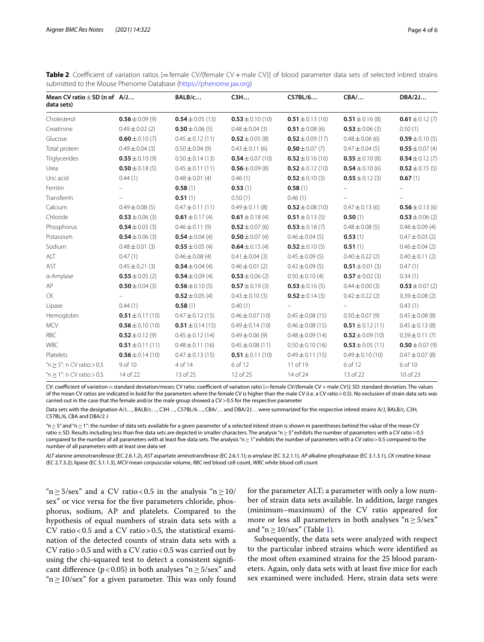| Mean CV ratio $\pm$ SD (n of A/J<br>data sets) |                     | BALB/c               | C3H                  | C57BL/6                    | CBA/                     | DBA/2J              |
|------------------------------------------------|---------------------|----------------------|----------------------|----------------------------|--------------------------|---------------------|
| Cholesterol                                    | $0.56 \pm 0.09(9)$  | $0.54 \pm 0.05(13)$  | $0.53 \pm 0.10(10)$  | $0.51 \pm 0.13(16)$        | $0.51 \pm 0.16$ (8)      | $0.61 \pm 0.12$ (7) |
| Creatinine                                     | $0.49 \pm 0.02$ (2) | $0.50 \pm 0.06(5)$   | $0.48 \pm 0.04$ (3)  | $0.51 \pm 0.08$ (6)        | $0.53 \pm 0.06$ (3)      | 0.50(1)             |
| Glucose                                        | $0.60 \pm 0.10(7)$  | $0.45 \pm 0.12(11)$  | $0.52 \pm 0.05$ (8)  | $0.52 \pm 0.09$ (17)       | $0.48 \pm 0.06$ (6)      | $0.59 \pm 0.10(5)$  |
| Total protein                                  | $0.49 \pm 0.04$ (3) | $0.50 \pm 0.04(9)$   | $0.43 \pm 0.11$ (6)  | $0.50 \pm 0.07(7)$         | $0.47 \pm 0.04$ (5)      | $0.55 \pm 0.07(4)$  |
| Triglycerides                                  | $0.55 \pm 0.10(9)$  | $0.50 \pm 0.14(13)$  | $0.54 \pm 0.07(10)$  | $0.52 \pm 0.16(16)$        | $0.55 \pm 0.10(8)$       | $0.54 \pm 0.12(7)$  |
| Urea                                           | $0.50 \pm 0.18(5)$  | $0.45 \pm 0.11(11)$  | $0.56 \pm 0.09(8)$   | $0.52 \pm 0.12(10)$        | $0.54 \pm 0.10(6)$       | $0.52 \pm 0.15(5)$  |
| Uric acid                                      | 0.44(1)             | $0.48 \pm 0.01$ (4)  | 0.46(1)              | $0.52 \pm 0.10(3)$         | $0.55 \pm 0.12$ (3)      | 0.67(1)             |
| Ferritin                                       |                     | 0.58(1)              | 0.53(1)              | 0.58(1)                    |                          |                     |
| Transferrin                                    |                     | 0.51(1)              | 0.50(1)              | 0.46(1)                    |                          |                     |
| Calcium                                        | $0.49 \pm 0.08$ (5) | $0.47 \pm 0.11(11)$  | $0.49 \pm 0.11$ (8)  | $0.52 \pm 0.08(10)$        | $0.47 \pm 0.13$ (6)      | $0.56 \pm 0.13$ (6) |
| Chloride                                       | $0.53 \pm 0.06$ (3) | $0.61 \pm 0.17(4)$   | $0.61 \pm 0.18(4)$   | <b>0.51</b> $\pm$ 0.13 (5) | 0.50(1)                  | $0.53 \pm 0.06$ (2) |
| Phosphorus                                     | $0.54 \pm 0.05$ (3) | $0.46 \pm 0.11(9)$   | $0.52 \pm 0.07$ (6)  | $0.53 \pm 0.18$ (7)        | $0.48 \pm 0.08(5)$       | $0.48 \pm 0.09$ (4) |
| Potassium                                      | $0.54 \pm 0.06(3)$  | $0.54 \pm 0.04(4)$   | $0.50 \pm 0.07(4)$   | $0.46 \pm 0.04$ (5)        | 0.53(1)                  | $0.47 \pm 0.03$ (2) |
| Sodium                                         | $0.48 \pm 0.01$ (3) | $0.55 \pm 0.05$ (4)  | $0.64 \pm 0.15(4)$   | $0.52 \pm 0.10(5)$         | 0.51(1)                  | $0.46 \pm 0.04$ (2) |
| ALT                                            | 0.47(1)             | $0.46 \pm 0.08$ (4)  | $0.41 \pm 0.04$ (3)  | $0.45 \pm 0.09(5)$         | $0.40 \pm 0.22$ (2)      | $0.40 \pm 0.11$ (2) |
| AST                                            | $0.45 \pm 0.21$ (3) | $0.54 \pm 0.04(4)$   | $0.46 \pm 0.01$ (2)  | $0.42 \pm 0.09(5)$         | $0.51 \pm 0.01$ (3)      | 0.47(1)             |
| a-Amylase                                      | $0.55 \pm 0.05$ (2) | $0.54 \pm 0.09(4)$   | $0.53 \pm 0.06$ (2)  | $0.50 \pm 0.10(4)$         | $0.57 \pm 0.02$ (3)      | 0.34(1)             |
| AP                                             | $0.50 \pm 0.04$ (3) | $0.56 \pm 0.10(5)$   | $0.57 \pm 0.19(3)$   | $0.53 \pm 0.16(5)$         | $0.44 \pm 0.00$ (3)      | $0.53 \pm 0.07$ (2) |
| CK                                             |                     | $0.52 \pm 0.05$ (4)  | $0.43 \pm 0.10$ (3)  | $0.52 \pm 0.14$ (3)        | $0.42 \pm 0.22$ (2)      | $0.39 \pm 0.08$ (2) |
| Lipase                                         | 0.44(1)             | 0.58(1)              | 0.40(1)              |                            | $\overline{\phantom{0}}$ | 0.43(1)             |
| Hemoglobin                                     | $0.51 \pm 0.17(10)$ | $0.47 \pm 0.12(15)$  | $0.46 \pm 0.07(10)$  | $0.45 \pm 0.08$ (15)       | $0.50 \pm 0.07$ (9)      | $0.45 \pm 0.08$ (8) |
| <b>MCV</b>                                     | $0.56 \pm 0.10(10)$ | $0.51 \pm 0.14(15)$  | $0.49 \pm 0.14(10)$  | $0.46 \pm 0.08$ (15)       | $0.51 \pm 0.12(11)$      | $0.45 \pm 0.13$ (8) |
| <b>RBC</b>                                     | $0.52 \pm 0.12(9)$  | $0.45 \pm 0.12$ (14) | $0.49 \pm 0.06$ (9)  | $0.48 \pm 0.09$ (14)       | $0.52 \pm 0.09(10)$      | $0.39 \pm 0.11(7)$  |
| WBC                                            | $0.51 \pm 0.11(11)$ | $0.48 \pm 0.11(16)$  | $0.45 \pm 0.08$ (11) | $0.50 \pm 0.10$ (16)       | $0.53 \pm 0.05(11)$      | $0.50 \pm 0.07(9)$  |
| Platelets                                      | $0.56 \pm 0.14(10)$ | $0.47 \pm 0.13(15)$  | $0.51 \pm 0.11(10)$  | $0.49 \pm 0.11(15)$        | $0.49 \pm 0.10$ (10)     | $0.47 \pm 0.07$ (8) |
| " $n \ge 5$ ": n CV ratio > 0.5                | 9 of 10             | 4 of 14              | 6 of 12              | 11 of 19                   | 6 of 12                  | 6 of 10             |
| " $n > 1$ ": n CV ratio $> 0.5$                | 14 of 22            | 13 of 25             | 12 of 25             | 14 of 24                   | 13 of 22                 | 10 of 23            |

<span id="page-3-0"></span>Table 2 Coefficient of variation ratios [=female CV/(female CV+male CV)] of blood parameter data sets of selected inbred strains submitted to the Mouse Phenome Database [\(https://phenome.jax.org\)](https://phenome.jax.org)

CV: coefficient of variation = standard deviation/mean; CV ratio: coefficient of variation ratio [=female CV/(female CV + male CV)]; SD: standard deviation. The values of the mean CV ratios are indicated in bold for the parameters where the female CV is higher than the male CV (i.e. a CV ratio>0.5). No exclusion of strain data sets was carried out in the case that the female and/or the male group showed a CV>0.5 for the respective parameter

Data sets with the designation A/J…, BALB/c…, C3H…, C57BL/6…, CBA/… and DBA/2J… were summarized for the respective inbred strains A/J, BALB/c, C3H, C57BL/6, CBA and DBA/2 J

"n ≥ 5" and "n ≥ 1": the number of data sets available for a given parameter of a selected inbred strain is shown in parentheses behind the value of the mean CV ratio±SD. Results including less than fve data sets are depicted in smaller characters. The analysis "n≥5" exhibits the number of parameters with a CV ratio>0.5 compared to the number of all parameters with at least five data sets. The analysis "n ≥1" exhibits the number of parameters with a CV ratio > 0.5 compared to the number of all parameters with at least one data set

*ALT* alanine aminotransferase (EC 2.6.1.2), *AST* aspartate aminotransferase (EC 2.6.1.1); α-amylase (EC 3.2.1.1), *AP* alkaline phosphatase (EC 3.1.3.1), *CK* creatine kinase (EC 2.7.3.2); lipase (EC 3.1.1.3), *MCV* mean corpuscular volume, *RBC* red blood cell count, *WBC* white blood cell count

" $n \ge 5/\text{sex}$ " and a CV ratio < 0.5 in the analysis " $n \ge 10$ / sex" or vice versa for the fve parameters chloride, phosphorus, sodium, AP and platelets. Compared to the hypothesis of equal numbers of strain data sets with a CV ratio <  $0.5$  and a CV ratio >  $0.5$ , the statistical examination of the detected counts of strain data sets with a CV ratio > 0.5 and with a CV ratio <  $0.5$  was carried out by using the chi-squared test to detect a consistent signifcant difference ( $p < 0.05$ ) in both analyses "n  $\geq 5$ /sex" and " $n \ge 10$ /sex" for a given parameter. This was only found for the parameter ALT; a parameter with only a low number of strain data sets available. In addition, large ranges (minimum–maximum) of the CV ratio appeared for more or less all parameters in both analyses " $n \ge 5$ /sex" and " $n \ge 10$  $n \ge 10$  $n \ge 10$ /sex" (Table 1).

Subsequently, the data sets were analyzed with respect to the particular inbred strains which were identifed as the most often examined strains for the 25 blood parameters. Again, only data sets with at least fve mice for each sex examined were included. Here, strain data sets were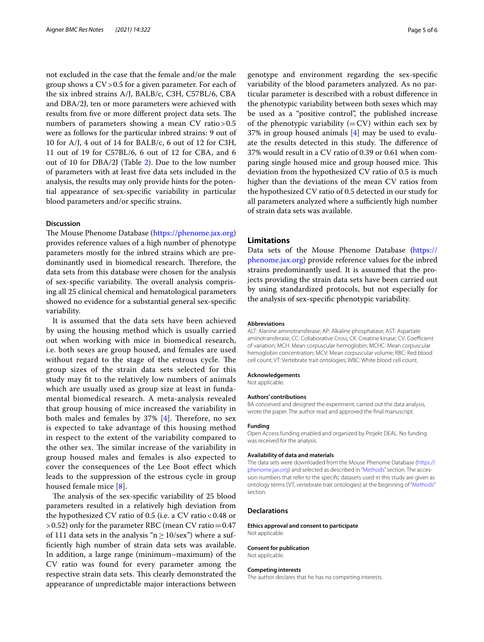not excluded in the case that the female and/or the male group shows a CV>0.5 for a given parameter. For each of the six inbred strains A/J, BALB/c, C3H, C57BL/6, CBA and DBA/2J, ten or more parameters were achieved with results from five or more different project data sets. The numbers of parameters showing a mean CV ratio > 0.5 were as follows for the particular inbred strains: 9 out of 10 for A/J, 4 out of 14 for BALB/c, 6 out of 12 for C3H, 11 out of 19 for C57BL/6, 6 out of 12 for CBA, and 6 out of 10 for DBA/2J (Table [2\)](#page-3-0). Due to the low number of parameters with at least fve data sets included in the analysis, the results may only provide hints for the potential appearance of sex-specifc variability in particular blood parameters and/or specifc strains.

## **Discussion**

The Mouse Phenome Database [\(https://phenome.jax.org](https://phenome.jax.org)) provides reference values of a high number of phenotype parameters mostly for the inbred strains which are predominantly used in biomedical research. Therefore, the data sets from this database were chosen for the analysis of sex-specific variability. The overall analysis comprising all 25 clinical chemical and hematological parameters showed no evidence for a substantial general sex-specifc variability.

It is assumed that the data sets have been achieved by using the housing method which is usually carried out when working with mice in biomedical research, i.e. both sexes are group housed, and females are used without regard to the stage of the estrous cycle. The group sizes of the strain data sets selected for this study may ft to the relatively low numbers of animals which are usually used as group size at least in fundamental biomedical research. A meta-analysis revealed that group housing of mice increased the variability in both males and females by  $37\%$  [[4](#page-5-4)]. Therefore, no sex is expected to take advantage of this housing method in respect to the extent of the variability compared to the other sex. The similar increase of the variability in group housed males and females is also expected to cover the consequences of the Lee Boot efect which leads to the suppression of the estrous cycle in group housed female mice [[8\]](#page-5-7).

The analysis of the sex-specific variability of 25 blood parameters resulted in a relatively high deviation from the hypothesized CV ratio of 0.5 (i.e. a CV ratio  $<0.48$  or  $>0.52$ ) only for the parameter RBC (mean CV ratio = 0.47 of 111 data sets in the analysis " $n \ge 10$ /sex") where a suffciently high number of strain data sets was available. In addition, a large range (minimum–maximum) of the CV ratio was found for every parameter among the respective strain data sets. This clearly demonstrated the appearance of unpredictable major interactions between genotype and environment regarding the sex-specifc variability of the blood parameters analyzed. As no particular parameter is described with a robust diference in the phenotypic variability between both sexes which may be used as a "positive control", the published increase of the phenotypic variability  $(=CV)$  within each sex by 37% in group housed animals [[4\]](#page-5-4) may be used to evaluate the results detected in this study. The difference of 37% would result in a CV ratio of 0.39 or 0.61 when comparing single housed mice and group housed mice. This deviation from the hypothesized CV ratio of 0.5 is much higher than the deviations of the mean CV ratios from the hypothesized CV ratio of 0.5 detected in our study for all parameters analyzed where a sufficiently high number of strain data sets was available.

## **Limitations**

Data sets of the Mouse Phenome Database [\(https://](https://phenome.jax.org) [phenome.jax.org](https://phenome.jax.org)) provide reference values for the inbred strains predominantly used. It is assumed that the projects providing the strain data sets have been carried out by using standardized protocols, but not especially for the analysis of sex-specifc phenotypic variability.

#### **Abbreviations**

ALT: Alanine aminotransferase; AP: Alkaline phosphatase; AST: Aspartate aminotransferase; CC: Collaborative Cross; CK: Creatine kinase; CV: Coefficient of variation; MCH: Mean corpuscular hemoglobin; MCHC: Mean corpuscular hemoglobin concentration; MCV: Mean corpuscular volume; RBC: Red blood cell count; VT: Vertebrate trait ontologies; WBC: White blood cell count.

#### **Acknowledgements**

Not applicable.

## **Authors' contributions**

BA conceived and designed the experiment, carried out the data analysis, wrote the paper. The author read and approved the fnal manuscript.

#### **Funding**

Open Access funding enabled and organized by Projekt DEAL. No funding was received for the analysis.

#### **Availability of data and materials**

The data sets were downloaded from the Mouse Phenome Database ([https://](https://phenome.jax.org) [phenome.jax.org](https://phenome.jax.org)) and selected as described in "[Methods](#page-1-0)" section. The accession numbers that refer to the specifc datasets used in this study are given as ontology terms (VT, vertebrate trait ontologies) at the beginning of ["Methods](#page-1-0)" section.

#### **Declarations**

**Ethics approval and consent to participate** Not applicable.

# **Consent for publication**

Not applicable.

#### **Competing interests**

The author declares that he has no competing interests.